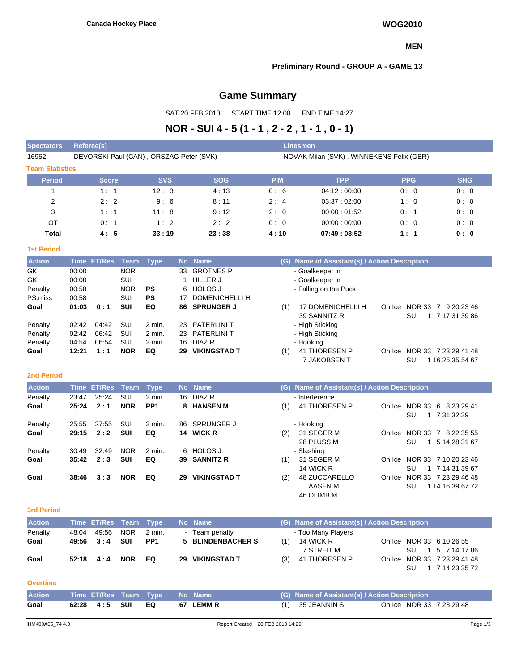#### **MEN**

#### **Preliminary Round - GROUP A - GAME 13**

# **Game Summary**

SAT 20 FEB 2010 START TIME 12:00 END TIME 14:27

# **NOR - SUI 4 - 5 (1 - 1 , 2 - 2 , 1 - 1 , 0 - 1)**

| <b>Spectators</b>      | Referee(s)                              |            |            | <b>Linesmen</b> |                                          |            |            |
|------------------------|-----------------------------------------|------------|------------|-----------------|------------------------------------------|------------|------------|
| 16952                  | DEVORSKI Paul (CAN), ORSZAG Peter (SVK) |            |            |                 | NOVAK Milan (SVK), WINNEKENS Felix (GER) |            |            |
| <b>Team Statistics</b> |                                         |            |            |                 |                                          |            |            |
| <b>Period</b>          | <b>Score</b>                            | <b>SVS</b> | <b>SOG</b> | <b>PIM</b>      | <b>TPP</b>                               | <b>PPG</b> | <b>SHG</b> |
|                        | 1:1                                     | 12:3       | 4:13       | 0:6             | 04:12:00:00                              | 0:0        | 0:0        |
| 2                      | 2:2                                     | 9:6        | 8:11       | 2:4             | 03:37:02:00                              | 1:0        | 0:0        |
| 3                      | 1:1                                     | 11:8       | 9:12       | 2:0             | 00:00:01:52                              | 0:1        | 0:0        |
| OT                     | 0:1                                     | 1:2        | 2:2        | 0:0             | 00:00:00:00                              | 0:0        | 0:0        |
| <b>Total</b>           | 4:5                                     | 33:19      | 23:38      | 4:10            | 07:49:03:52                              | 1:1        | 0: 0       |

#### **1st Period**

| <b>Action</b> |       | Time ET/Res Team |            | <b>Type</b> |     | No Name             |     | (G) Name of Assistant(s) / Action Description |        |                                   |
|---------------|-------|------------------|------------|-------------|-----|---------------------|-----|-----------------------------------------------|--------|-----------------------------------|
| GK            | 00:00 |                  | <b>NOR</b> |             | 33  | <b>GROTNES P</b>    |     | - Goalkeeper in                               |        |                                   |
| GK            | 00:00 |                  | SUI        |             |     | <b>HILLER J</b>     |     | - Goalkeeper in                               |        |                                   |
| Penalty       | 00:58 |                  | <b>NOR</b> | <b>PS</b>   |     | 6 HOLOS J           |     | - Falling on the Puck                         |        |                                   |
| PS.miss       | 00:58 |                  | <b>SUI</b> | <b>PS</b>   | 17  | DOMENICHELLI H      |     |                                               |        |                                   |
| Goal          | 01:03 | 0:1              | <b>SUI</b> | EQ          |     | 86 SPRUNGER J       | (1) | 17 DOMENICHELLI H                             | On Ice | <b>NOR 33</b><br>9 20 23 46<br>-7 |
|               |       |                  |            |             |     |                     |     | 39 SANNITZ R                                  |        | 7 17 31 39 86<br>SUI              |
| Penalty       | 02:42 | 04:42            | SUI        | 2 min.      |     | 23 PATERLINI T      |     | - High Sticking                               |        |                                   |
| Penalty       | 02:42 | 06:42            | SUI        | 2 min.      |     | 23 PATERLINI T      |     | - High Sticking                               |        |                                   |
| Penalty       | 04:54 | 06:54            | SUI        | 2 min.      | 16. | DIAZ R              |     | - Hooking                                     |        |                                   |
| Goal          | 12:21 | 1:1              | <b>NOR</b> | EQ          | 29  | <b>VIKINGSTAD T</b> | (1) | 41 THORESEN P                                 | On Ice | NOR 33 7 23 29 41 48              |
|               |       |                  |            |             |     |                     |     | 7 JAKOBSEN T                                  |        | SUI<br>16 25 35 54 67             |

#### **2nd Period**

| <b>Action</b> |       | Time ET/Res Team |            | Type            |     | No Name             |     | (G) Name of Assistant(s) / Action Description |        |                                                   |
|---------------|-------|------------------|------------|-----------------|-----|---------------------|-----|-----------------------------------------------|--------|---------------------------------------------------|
| Penalty       | 23:47 | 25:24            | <b>SUI</b> | 2 min.          |     | 16 DIAZ R           |     | - Interference                                |        |                                                   |
| Goal          | 25:24 | 2:1              | <b>NOR</b> | PP <sub>1</sub> |     | 8 HANSEN M          | (1) | 41 THORESEN P                                 |        | On Ice NOR 33 6 8 23 29 41<br>1 7 31 32 39<br>SUI |
| Penalty       | 25:55 | 27:55            | SUI        | 2 min.          | 86. | SPRUNGER J          |     | - Hooking                                     |        |                                                   |
| Goal          | 29:15 | 2:2              | <b>SUI</b> | EQ              |     | 14 WICK R           | (2) | 31 SEGER M                                    | On Ice | NOR 33 7 8 22 35 55                               |
|               |       |                  |            |                 |     |                     |     | 28 PLUSS M                                    |        | SUI<br>5 14 28 31 67                              |
| Penalty       | 30:49 | 32:49            | <b>NOR</b> | 2 min.          |     | 6 HOLOSJ            |     | - Slashing                                    |        |                                                   |
| Goal          | 35:42 | 2:3              | <b>SUI</b> | EQ              |     | 39 SANNITZ R        | (1) | 31 SEGER M                                    |        | On Ice NOR 33 7 10 20 23 46                       |
|               |       |                  |            |                 |     |                     |     | 14 WICK R                                     |        | 1 7 14 31 39 67<br>SUI                            |
| Goal          | 38:46 | 3:3              | <b>NOR</b> | EQ              | 29  | <b>VIKINGSTAD T</b> | (2) | 48 ZUCCARELLO                                 | On Ice | NOR 33 7 23 29 46 48                              |
|               |       |                  |            |                 |     |                     |     | AASEN M                                       |        | 1 14 16 39 67 72<br>SUI                           |
|               |       |                  |            |                 |     |                     |     | 46 OLIMB M                                    |        |                                                   |

#### **3rd Period**

| <b>Action</b>   |       | Time ET/Res Team Type |            |                 |    | No Name             |     | (G) Name of Assistant(s) / Action Description |  |                             |
|-----------------|-------|-----------------------|------------|-----------------|----|---------------------|-----|-----------------------------------------------|--|-----------------------------|
| Penalty         | 48:04 | 49.56                 | <b>NOR</b> | $2$ min.        |    | - Team penalty      |     | - Too Many Players                            |  |                             |
| Goal            | 49:56 | 3:4                   | <b>SUI</b> | PP <sub>1</sub> |    | 5 BLINDENBACHER S   | (1) | 14 WICK R                                     |  | On Ice NOR 33 6 10 26 55    |
|                 |       |                       |            |                 |    |                     |     | 7 STREIT M                                    |  | SUI 1 5 7 14 17 86          |
| Goal            | 52:18 | 4:4                   | <b>NOR</b> | EQ              | 29 | <b>VIKINGSTAD T</b> | (3) | 41 THORESEN P                                 |  | On Ice NOR 33 7 23 29 41 48 |
|                 |       |                       |            |                 |    |                     |     |                                               |  | SUI 1 7 14 23 35 72         |
| <b>Overtime</b> |       |                       |            |                 |    |                     |     |                                               |  |                             |
| <b>Action</b>   |       | Time ET/Res Team Type |            |                 |    | No Name             |     | (G) Name of Assistant(s) / Action Description |  |                             |
| Goal            | 62:28 | 4:5                   | SUI        | EQ              | 67 | <b>LEMMR</b>        | (1) | 35 JEANNIN S                                  |  | On Ice NOR 33 7 23 29 48    |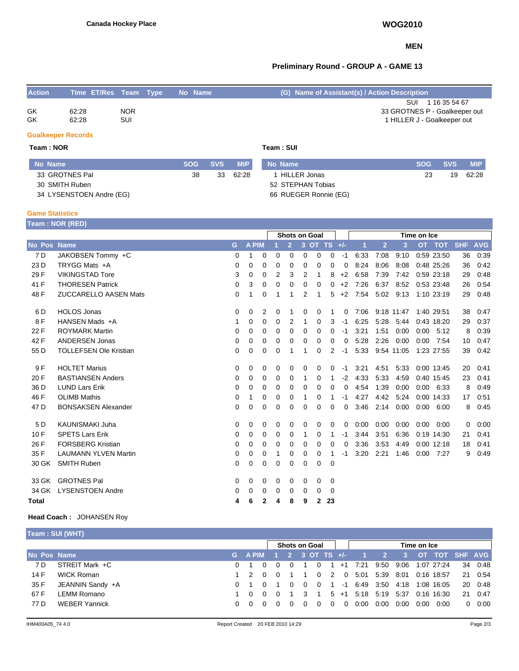#### **MEN**

## **Preliminary Round - GROUP A - GAME 13**

| <b>Action</b>             | Time ET/Res Team Type |                          |  | No Name |            | (G) Name of Assistant(s) / Action Description                                        |
|---------------------------|-----------------------|--------------------------|--|---------|------------|--------------------------------------------------------------------------------------|
| GK<br><b>GK</b>           | 62:28<br>62:28        | <b>NOR</b><br><b>SUI</b> |  |         |            | 1 16 35 54 67<br>SUI<br>33 GROTNES P - Goalkeeper out<br>1 HILLER J - Goalkeeper out |
| <b>Goalkeeper Records</b> |                       |                          |  |         |            |                                                                                      |
| Team : NOR                |                       |                          |  |         | Team : SUI |                                                                                      |

| No Name                  | <b>SOG</b> | <b>SVS</b> | <b>MIP</b> | No Name               | <b>SOG</b> | <b>SVS</b> | <b>MIP</b> |
|--------------------------|------------|------------|------------|-----------------------|------------|------------|------------|
| 33 GROTNES Pal           | 38         | 33         | 62:28      | HILLER Jonas          | 23         | 19         | 62:28      |
| 30 SMITH Ruben           |            |            |            | 52 STEPHAN Tobias     |            |            |            |
| 34 LYSENSTOEN Andre (EG) |            |            |            | 66 RUEGER Ronnie (EG) |            |            |            |

| 34 LYSENSTOEN And |  |
|-------------------|--|
|                   |  |

#### **Game Statistics**

**Team : NOR (RED)**

|                 |                               |          |              |             |   | <b>Shots on Goal</b> |             |              |               |          |      |                |            | Time on Ice |              |            |            |
|-----------------|-------------------------------|----------|--------------|-------------|---|----------------------|-------------|--------------|---------------|----------|------|----------------|------------|-------------|--------------|------------|------------|
| No Pos          | <b>Name</b>                   | G        | <b>A PIM</b> |             |   | $\overline{2}$       |             |              | 3 OT TS $+/-$ |          |      | $\overline{2}$ | 3          | <b>OT</b>   | TOT          | <b>SHF</b> | <b>AVG</b> |
| 7 D             | JAKOBSEN Tommy +C             | 0        |              | 0           | 0 | 0                    | 0           | $\Omega$     | 0             | $-1$     | 6:33 | 7:08           | 9:10       |             | 0:59 23:50   | 36         | 0:39       |
| 23 D            | TRYGG Mats +A                 | 0        | $\mathbf 0$  | 0           | 0 | 0                    | 0           | 0            | 0             | 0        | 8:24 | 8:06           | 8:08       |             | 0:48 25:26   | 36         | 0:42       |
| 29 F            | <b>VIKINGSTAD Tore</b>        | 3        | 0            | 0           | 2 | 3                    | 2           | 1            | 8             | $+2$     | 6:58 | 7:39           | 7:42       |             | 0:59 23:18   | 29         | 0:48       |
| 41 F            | <b>THORESEN Patrick</b>       | 0        | 3            | $\mathbf 0$ | 0 | 0                    | 0           | 0            | 0             | $+2$     | 7:26 | 6:37           | 8:52       |             | 0:53 23:48   | 26         | 0.54       |
| 48 F            | <b>ZUCCARELLO AASEN Mats</b>  | 0        | 1            | 0           |   | 1                    | 2           | 1            | 5             | $+2$     | 7:54 | 5:02           | 9:13       |             | 1:10 23:19   | 29         | 0:48       |
| 6 D             | <b>HOLOS Jonas</b>            | $\Omega$ | 0            | 2           | 0 | 1                    | 0           | 0            | 1             | 0        | 7:06 |                | 9:18 11:47 |             | 1:40 29:51   | 38         | 0:47       |
| 8F              | HANSEN Mads +A                | 1        | 0            | 0           | 0 | 2                    | 1           | $\Omega$     | 3             | $-1$     | 6:25 | 5:28           | 5:44       |             | 0:43 18:20   | 29         | 0:37       |
| 22 F            | <b>ROYMARK Martin</b>         | 0        | $\mathbf 0$  | 0           | 0 | 0                    | $\Omega$    | $\Omega$     | 0             | $-1$     | 3:21 | 1:51           | 0:00       | 0:00        | 5:12         | 8          | 0:39       |
| 42 F            | <b>ANDERSEN Jonas</b>         | 0        | $\mathbf 0$  | 0           | 0 | 0                    | 0           | 0            | 0             | 0        | 5:28 | 2:26           | 0:00       | 0:00        | 7:54         | 10         | 0:47       |
| 55 D            | <b>TOLLEFSEN Ole Kristian</b> | 0        | $\mathbf 0$  | 0           | 0 |                      |             | 0            | 2             | $-1$     | 5:33 |                | 9:54 11:05 |             | 1:23 27:55   | 39         | 0:42       |
| 9 F             | <b>HOLTET Marius</b>          | $\Omega$ | 0            | 0           | 0 | $\Omega$             | $\Omega$    | $\Omega$     | $\Omega$      | $-1$     | 3:21 | 4:51           | 5:33       |             | $0:00$ 13:45 | 20         | 0:41       |
| 20 F            | <b>BASTIANSEN Anders</b>      | 0        | 0            | 0           | 0 | 0                    | 1           | 0            | 1             | $-2$     | 4:33 | 5.33           | 4.59       |             | 0:40 15:45   | 23         | 0:41       |
| 36 D            | <b>LUND Lars Erik</b>         | $\Omega$ | $\Omega$     | 0           | 0 | 0                    | $\Omega$    | $\Omega$     | 0             | $\Omega$ | 4:54 | 1:39           | 0:00       | 0:00        | 6:33         | 8          | 0:49       |
| 46 F            | <b>OLIMB Mathis</b>           | 0        | 1            | 0           | 0 | 0                    | 1           | 0            | 1             | -1       | 4:27 | 4:42           | 5:24       |             | 0:00 14:33   | 17         | 0:51       |
| 47 <sub>D</sub> | <b>BONSAKSEN Alexander</b>    | 0        | $\mathbf 0$  | 0           | 0 | 0                    | $\Omega$    | 0            | $\Omega$      | 0        | 3:46 | 2:14           | 0:00       | 0:00        | 6:00         | 8          | 0:45       |
| 5 D             | <b>KAUNISMAKI Juha</b>        | 0        | $\mathbf 0$  | 0           | 0 | 0                    | 0           | 0            | 0             | 0        | 0:00 | 0:00           | 0:00       | 0:00        | 0:00         | 0          | 0:00       |
| 10F             | <b>SPETS Lars Erik</b>        | 0        | 0            | 0           | 0 | $\Omega$             | 1           | $\Omega$     | 1             | -1       | 3:44 | 3:51           | 6:36       |             | $0:19$ 14:30 | 21         | 0:41       |
| 26 F            | <b>FORSBERG Kristian</b>      | 0        | 0            | 0           | 0 | 0                    | 0           | 0            | 0             | 0        | 3:36 | 3:53           | 4:49       |             | $0:00$ 12:18 | 18         | 0:41       |
| 35 F            | <b>LAUMANN YLVEN Martin</b>   | 0        | $\mathbf 0$  | 0           |   | 0                    | 0           | 0            | 1             | $-1$     | 3:20 | 2:21           | 1:46       | 0:00        | 7:27         | 9          | 0:49       |
| 30 GK           | <b>SMITH Ruben</b>            | 0        | $\mathbf 0$  | 0           | 0 | 0                    | $\mathbf 0$ | 0            | 0             |          |      |                |            |             |              |            |            |
| 33 GK           | <b>GROTNES Pal</b>            | $\Omega$ | 0            | 0           | 0 | 0                    | $\Omega$    | 0            | $\Omega$      |          |      |                |            |             |              |            |            |
| 34 GK           | <b>LYSENSTOEN Andre</b>       | 0        | 0            | 0           | 0 | 0                    | 0           | 0            | 0             |          |      |                |            |             |              |            |            |
| <b>Total</b>    |                               | 4        | 6            | 2           | 4 | 8                    | 9           | $\mathbf{2}$ | 23            |          |      |                |            |             |              |            |            |

### **Head Coach :** JOHANSEN Roy

|             | Team: SUI (WHT)      |                         |          |          |          |                      |          |          |              |                                   |      |             |                      |               |
|-------------|----------------------|-------------------------|----------|----------|----------|----------------------|----------|----------|--------------|-----------------------------------|------|-------------|----------------------|---------------|
|             |                      |                         |          |          |          | <b>Shots on Goal</b> |          |          |              |                                   |      | Time on Ice |                      |               |
| No Pos Name |                      | G A PIM 1 2 3 OT TS +/- |          |          |          |                      |          |          |              |                                   |      |             | 1 2 3 OT TOT SHF AVG |               |
| 7 D         | STREIT Mark +C       |                         |          |          |          | $\Omega$             |          |          | $1 + 1$ 7:21 | 9:50 9:06 1:07 27:24              |      |             |                      | 34 0:48       |
| 14 F        | WICK Roman           | 1 2                     |          |          |          |                      |          |          |              | 0 2 0 5:01 5:39 8:01 0:16 18:57   |      |             |                      | 21 0:54       |
| 35 F        | JEANNIN Sandy +A     |                         |          |          | $\Omega$ |                      |          |          |              | 0 1 -1 6:49 3:50 4:18             |      |             | 1:08 16:05           | 20 0:48       |
| 67 F        | LEMM Romano          | - റ                     |          |          | 3        | $\blacksquare$       |          |          |              | $5 + 1$ 5.18 5.19 5.37 0.16 16.30 |      |             |                      | 21 0:47       |
| 77 D        | <b>WEBER Yannick</b> | റ റ                     | $\Omega$ | $\Omega$ | $\Omega$ | - 0                  | $\Omega$ | $\Omega$ | 0:00         | 0:00                              | 0:00 | 0:00        | 0:00                 | $0\quad 0:00$ |